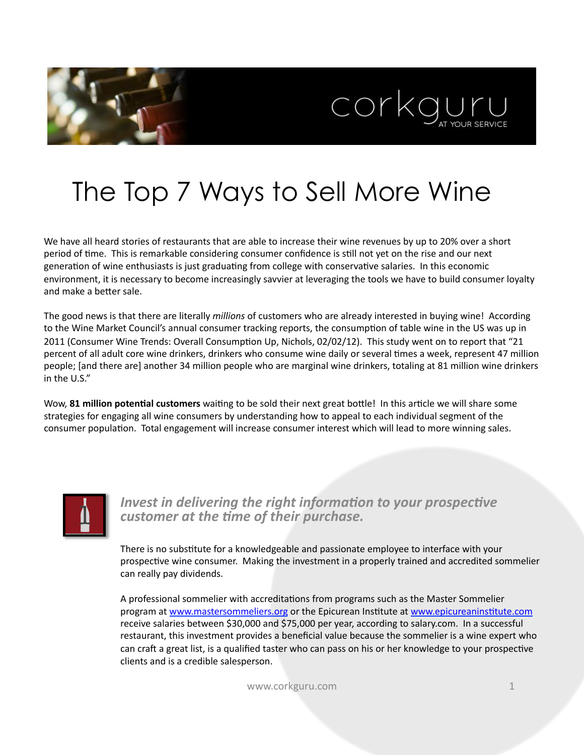



# The Top 7 Ways to Sell More Wine

We have all heard stories of restaurants that are able to increase their wine revenues by up to 20% over a short period of time. This is remarkable considering consumer confidence is still not yet on the rise and our next generation of wine enthusiasts is just graduating from college with conservative salaries. In this economic environment, it is necessary to become increasingly savvier at leveraging the tools we have to build consumer loyalty and make a better sale.

The good news is that there are literally *millions* of customers who are already interested in buying wine! According to the Wine Market Council's annual consumer tracking reports, the consumption of table wine in the US was up in 2011 (Consumer Wine Trends: Overall Consumption Up, Nichols, 02/02/12). This study went on to report that "21 percent of all adult core wine drinkers, drinkers who consume wine daily or several times a week, represent 47 million people; [and there are] another 34 million people who are marginal wine drinkers, totaling at 81 million wine drinkers in the U.S."

Wow, 81 million potential customers waiting to be sold their next great bottle! In this article we will share some strategies for engaging all wine consumers by understanding how to appeal to each individual segment of the consumer population. Total engagement will increase consumer interest which will lead to more winning sales.



*Invest in delivering the right information to your prospective customer at the time of their purchase.* 

There is no substitute for a knowledgeable and passionate employee to interface with your prospective wine consumer. Making the investment in a properly trained and accredited sommelier can really pay dividends.

A professional sommelier with accreditations from programs such as the Master Sommelier program at www.mastersommeliers.org or the Epicurean Institute at www.epicureaninstitute.com receive salaries between \$30,000 and \$75,000 per year, according to salary.com. In a successful restaurant, this investment provides a beneficial value because the sommelier is a wine expert who can craft a great list, is a qualified taster who can pass on his or her knowledge to your prospective clients and is a credible salesperson.

www.corkguru.com and the state of the state of the state  $1$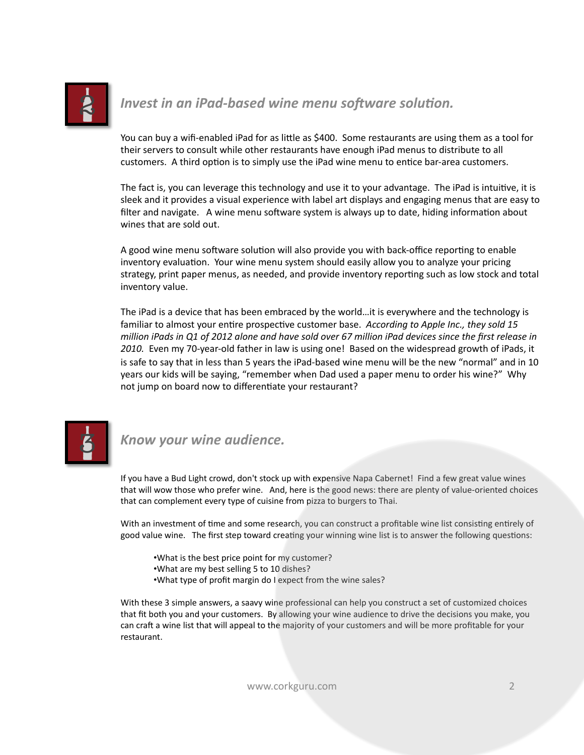

#### *Invest in an iPad-based wine menu software solution.*

You can buy a wifi-enabled iPad for as little as \$400. Some restaurants are using them as a tool for their servers to consult while other restaurants have enough iPad menus to distribute to all customers. A third option is to simply use the iPad wine menu to entice bar-area customers.

The fact is, you can leverage this technology and use it to your advantage. The iPad is intuitive, it is sleek and it provides a visual experience with label art displays and engaging menus that are easy to filter and navigate. A wine menu software system is always up to date, hiding information about wines that are sold out.

A good wine menu software solution will also provide you with back-office reporting to enable inventory evaluation. Your wine menu system should easily allow you to analyze your pricing strategy, print paper menus, as needed, and provide inventory reporting such as low stock and total inventory value.

The iPad is a device that has been embraced by the world…it is everywhere and the technology is familiar to almost your entire prospective customer base. According to Apple Inc., they sold 15 *million* iPads in Q1 of 2012 alone and have sold over 67 million iPad devices since the first release in 2010. Even my 70-year-old father in law is using one! Based on the widespread growth of iPads, it is safe to say that in less than 5 years the iPad-based wine menu will be the new "normal" and in 10 years our kids will be saying, "remember when Dad used a paper menu to order his wine?" Why not jump on board now to differentiate your restaurant?



#### *Know your wine audience.*

If you have a Bud Light crowd, don't stock up with expensive Napa Cabernet! Find a few great value wines that will wow those who prefer wine. And, here is the good news: there are plenty of value-oriented choices that can complement every type of cuisine from pizza to burgers to Thai.

With an investment of time and some research, you can construct a profitable wine list consisting entirely of good value wine. The first step toward creating your winning wine list is to answer the following questions:

- •What is the best price point for my customer?
- •What are my best selling 5 to 10 dishes?
- •What type of profit margin do I expect from the wine sales?

With these 3 simple answers, a saavy wine professional can help you construct a set of customized choices that fit both you and your customers. By allowing your wine audience to drive the decisions you make, you can craft a wine list that will appeal to the majority of your customers and will be more profitable for your restaurant. 

www.corkguru.com 2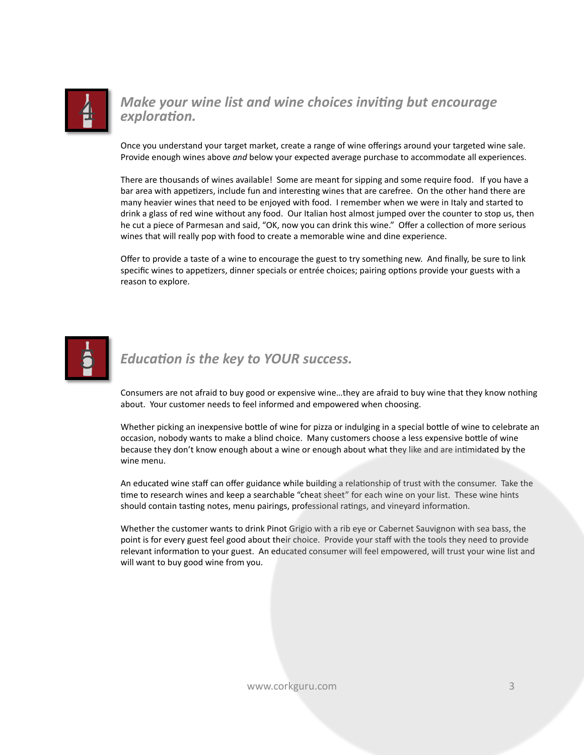

#### *Make your wine list and wine choices inviting but encourage exploration.*

Once you understand your target market, create a range of wine offerings around your targeted wine sale. Provide enough wines above and below your expected average purchase to accommodate all experiences.

There are thousands of wines available! Some are meant for sipping and some require food. If you have a bar area with appetizers, include fun and interesting wines that are carefree. On the other hand there are many heavier wines that need to be enjoyed with food. I remember when we were in Italy and started to drink a glass of red wine without any food. Our Italian host almost jumped over the counter to stop us, then he cut a piece of Parmesan and said, "OK, now you can drink this wine." Offer a collection of more serious wines that will really pop with food to create a memorable wine and dine experience.

Offer to provide a taste of a wine to encourage the guest to try something new. And finally, be sure to link specific wines to appetizers, dinner specials or entrée choices; pairing options provide your guests with a reason to explore.



### *Education is the key to YOUR success.*

Consumers are not afraid to buy good or expensive wine...they are afraid to buy wine that they know nothing about. Your customer needs to feel informed and empowered when choosing.

Whether picking an inexpensive bottle of wine for pizza or indulging in a special bottle of wine to celebrate an occasion, nobody wants to make a blind choice. Many customers choose a less expensive bottle of wine because they don't know enough about a wine or enough about what they like and are intimidated by the wine menu.

An educated wine staff can offer guidance while building a relationship of trust with the consumer. Take the time to research wines and keep a searchable "cheat sheet" for each wine on your list. These wine hints should contain tasting notes, menu pairings, professional ratings, and vineyard information.

Whether the customer wants to drink Pinot Grigio with a rib eye or Cabernet Sauvignon with sea bass, the point is for every guest feel good about their choice. Provide your staff with the tools they need to provide relevant information to your guest. An educated consumer will feel empowered, will trust your wine list and will want to buy good wine from you.